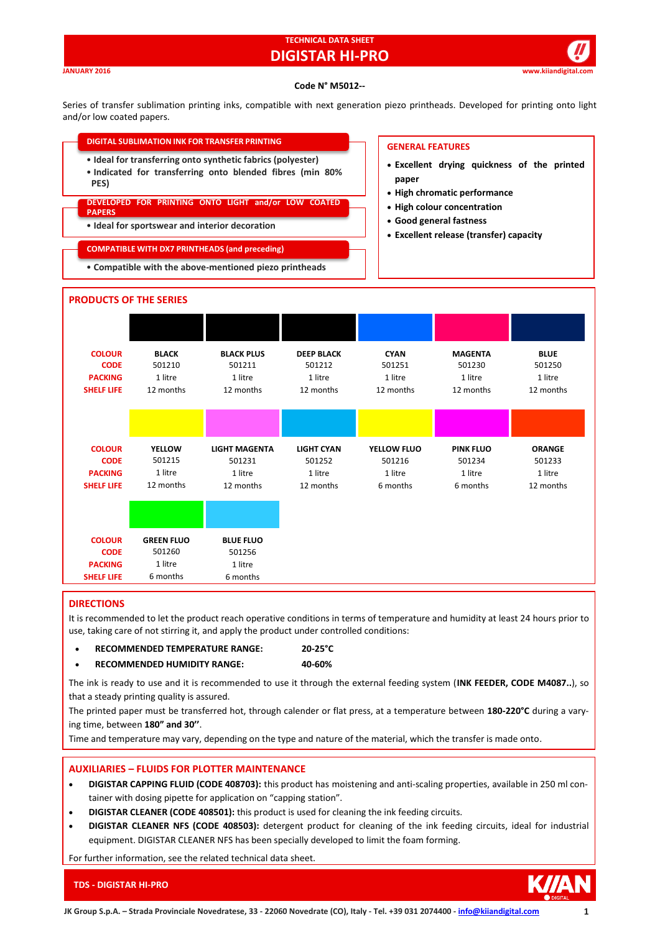## **TECHNICAL DATA SHEET DIGISTAR HI-PRO**

**JANUARY 2016 www.kiiandigital.com**

### **Code N° M5012--**

Series of transfer sublimation printing inks, compatible with next generation piezo printheads. Developed for printing onto light and/or low coated papers.

| <b>DIGITAL SUBLIMATION INK FOR TRANSFER PRINTING</b>                                                                             | <b>GENERAL FEATURES</b>                                                              |
|----------------------------------------------------------------------------------------------------------------------------------|--------------------------------------------------------------------------------------|
| • Ideal for transferring onto synthetic fabrics (polyester)<br>• Indicated for transferring onto blended fibres (min 80%<br>PES) | • Excellent drying quickness of the printed<br>paper<br>• High chromatic performance |
| DEVELOPED FOR PRINTING ONTO LIGHT and/or LOW COATED<br><b>PAPERS</b>                                                             | • High colour concentration                                                          |
| • Ideal for sportswear and interior decoration                                                                                   | • Good general fastness<br>• Excellent release (transfer) capacity                   |
| <b>COMPATIBLE WITH DX7 PRINTHEADS (and preceding)</b>                                                                            |                                                                                      |
| • Compatible with the above-mentioned piezo printheads                                                                           |                                                                                      |
|                                                                                                                                  |                                                                                      |



## **DIRECTIONS**

It is recommended to let the product reach operative conditions in terms of temperature and humidity at least 24 hours prior to use, taking care of not stirring it, and apply the product under controlled conditions:

- **RECOMMENDED TEMPERATURE RANGE: 20-25°C**
- **RECOMMENDED HUMIDITY RANGE: 40-60%**

The ink is ready to use and it is recommended to use it through the external feeding system (**INK FEEDER, CODE M4087..**), so that a steady printing quality is assured.

The printed paper must be transferred hot, through calender or flat press, at a temperature between **180-220°C** during a varying time, between **180" and 30''**.

Time and temperature may vary, depending on the type and nature of the material, which the transfer is made onto.

## **AUXILIARIES – FLUIDS FOR PLOTTER MAINTENANCE**

- **DIGISTAR CAPPING FLUID (CODE 408703):** this product has moistening and anti-scaling properties, available in 250 ml container with dosing pipette for application on "capping station".
- **DIGISTAR CLEANER (CODE 408501):** this product is used for cleaning the ink feeding circuits.
- **DIGISTAR CLEANER NFS (CODE 408503):** detergent product for cleaning of the ink feeding circuits, ideal for industrial equipment. DIGISTAR CLEANER NFS has been specially developed to limit the foam forming.

For further information, see the related technical data sheet.



**TDS - DIGISTAR HI-PRO**